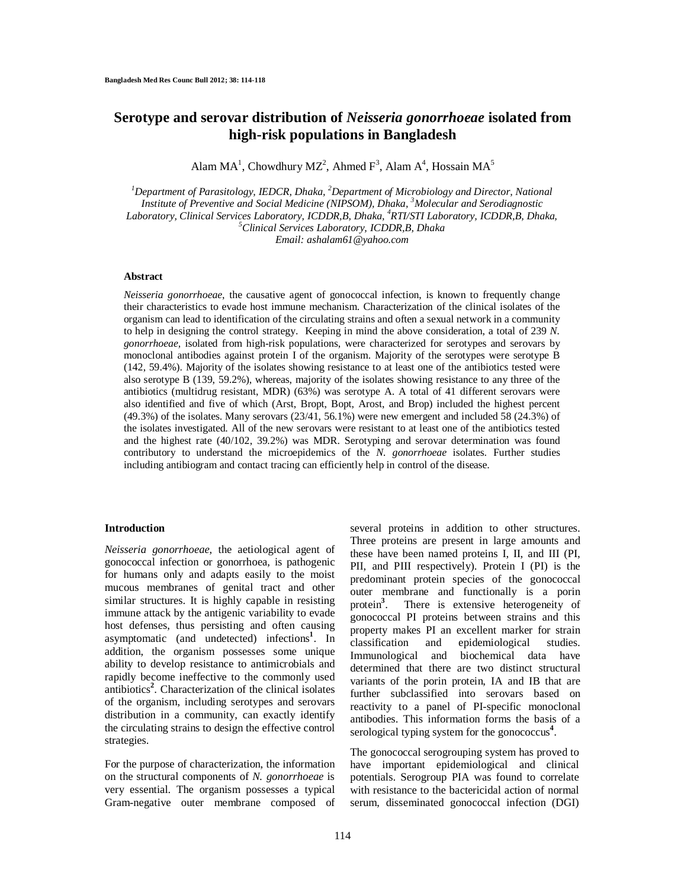# **Serotype and serovar distribution of** *Neisseria gonorrhoeae* **isolated from high-risk populations in Bangladesh**

Alam  $MA<sup>1</sup>$ , Chowdhury MZ<sup>2</sup>, Ahmed F<sup>3</sup>, Alam A<sup>4</sup>, Hossain MA<sup>5</sup>

*<sup>1</sup>Department of Parasitology, IEDCR, Dhaka, <sup>2</sup>Department of Microbiology and Director, National Institute of Preventive and Social Medicine (NIPSOM), Dhaka, <sup>3</sup>Molecular and Serodiagnostic Laboratory, Clinical Services Laboratory, ICDDR,B, Dhaka, <sup>4</sup>RTI/STI Laboratory, ICDDR,B, Dhaka, <sup>5</sup>Clinical Services Laboratory, ICDDR,B, Dhaka Email: ashalam61@yahoo.com*

# **Abstract**

*Neisseria gonorrhoeae*, the causative agent of gonococcal infection, is known to frequently change their characteristics to evade host immune mechanism. Characterization of the clinical isolates of the organism can lead to identification of the circulating strains and often a sexual network in a community to help in designing the control strategy. Keeping in mind the above consideration, a total of 239 *N. gonorrhoeae,* isolated from high-risk populations, were characterized for serotypes and serovars by monoclonal antibodies against protein I of the organism. Majority of the serotypes were serotype B (142, 59.4%). Majority of the isolates showing resistance to at least one of the antibiotics tested were also serotype B (139, 59.2%), whereas, majority of the isolates showing resistance to any three of the antibiotics (multidrug resistant, MDR) (63%) was serotype A. A total of 41 different serovars were also identified and five of which (Arst, Bropt, Bopt, Arost, and Brop) included the highest percent (49.3%) of the isolates. Many serovars (23/41, 56.1%) were new emergent and included 58 (24.3%) of the isolates investigated. All of the new serovars were resistant to at least one of the antibiotics tested and the highest rate (40/102, 39.2%) was MDR. Serotyping and serovar determination was found contributory to understand the microepidemics of the *N. gonorrhoeae* isolates. Further studies including antibiogram and contact tracing can efficiently help in control of the disease.

### **Introduction**

*Neisseria gonorrhoeae*, the aetiological agent of gonococcal infection or gonorrhoea, is pathogenic for humans only and adapts easily to the moist mucous membranes of genital tract and other similar structures. It is highly capable in resisting immune attack by the antigenic variability to evade host defenses, thus persisting and often causing asymptomatic (and undetected) infections**<sup>1</sup>** . In addition, the organism possesses some unique ability to develop resistance to antimicrobials and rapidly become ineffective to the commonly used antibiotics**<sup>2</sup>** . Characterization of the clinical isolates of the organism, including serotypes and serovars distribution in a community, can exactly identify the circulating strains to design the effective control strategies.

For the purpose of characterization, the information on the structural components of *N. gonorrhoeae* is very essential. The organism possesses a typical Gram-negative outer membrane composed of

several proteins in addition to other structures. Three proteins are present in large amounts and these have been named proteins I, II, and III (PI, PII, and PIII respectively). Protein I (PI) is the predominant protein species of the gonococcal outer membrane and functionally is a porin protein**<sup>3</sup>** There is extensive heterogeneity of gonococcal PI proteins between strains and this property makes PI an excellent marker for strain classification and epidemiological studies. Immunological and biochemical data have determined that there are two distinct structural variants of the porin protein, IA and IB that are further subclassified into serovars based on reactivity to a panel of PI-specific monoclonal antibodies. This information forms the basis of a serological typing system for the gonococcus**<sup>4</sup>** .

The gonococcal serogrouping system has proved to have important epidemiological and clinical potentials. Serogroup PIA was found to correlate with resistance to the bactericidal action of normal serum, disseminated gonococcal infection (DGI)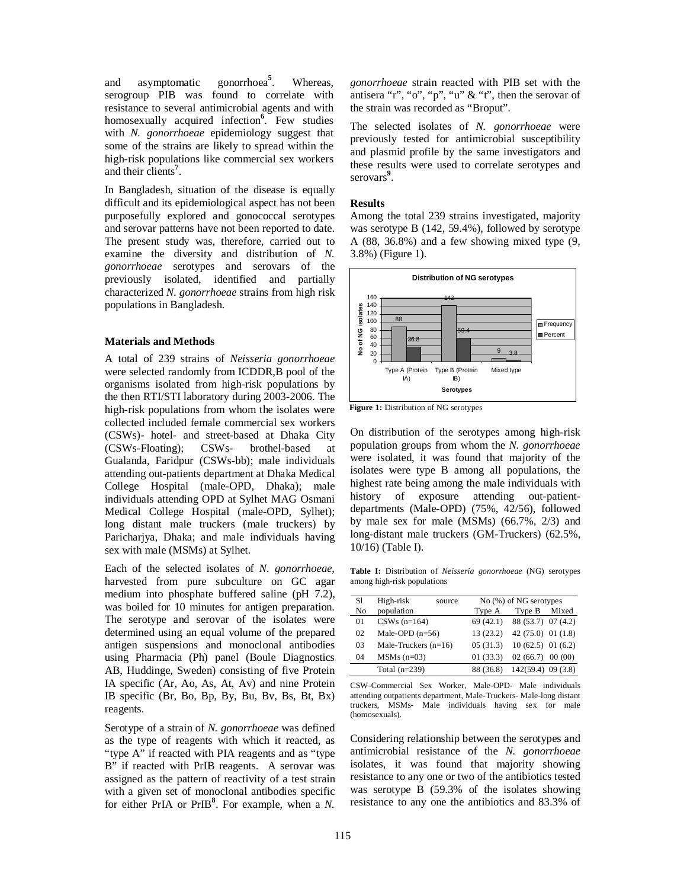and asymptomatic gonorrhoea**<sup>5</sup>** . Whereas, serogroup PIB was found to correlate with resistance to several antimicrobial agents and with homosexually acquired infection**<sup>6</sup>** . Few studies with *N. gonorrhoeae* epidemiology suggest that some of the strains are likely to spread within the high-risk populations like commercial sex workers and their clients**<sup>7</sup>** .

In Bangladesh, situation of the disease is equally difficult and its epidemiological aspect has not been purposefully explored and gonococcal serotypes and serovar patterns have not been reported to date. The present study was, therefore, carried out to examine the diversity and distribution of *N. gonorrhoeae* serotypes and serovars of the previously isolated, identified and partially characterized *N. gonorrhoeae* strains from high risk populations in Bangladesh.

#### **Materials and Methods**

A total of 239 strains of *Neisseria gonorrhoeae* were selected randomly from ICDDR,B pool of the organisms isolated from high-risk populations by the then RTI/STI laboratory during 2003-2006. The high-risk populations from whom the isolates were collected included female commercial sex workers (CSWs)- hotel- and street-based at Dhaka City (CSWs-Floating); CSWs- brothel-based at Gualanda, Faridpur (CSWs-bb); male individuals attending out-patients department at Dhaka Medical College Hospital (male-OPD, Dhaka); male individuals attending OPD at Sylhet MAG Osmani Medical College Hospital (male-OPD, Sylhet); long distant male truckers (male truckers) by Paricharjya, Dhaka; and male individuals having sex with male (MSMs) at Sylhet.

Each of the selected isolates of *N. gonorrhoeae,* harvested from pure subculture on GC agar medium into phosphate buffered saline (pH 7.2), was boiled for 10 minutes for antigen preparation. The serotype and serovar of the isolates were determined using an equal volume of the prepared antigen suspensions and monoclonal antibodies using Pharmacia (Ph) panel (Boule Diagnostics AB, Huddinge, Sweden) consisting of five Protein IA specific (Ar, Ao, As, At, Av) and nine Protein IB specific (Br, Bo, Bp, By, Bu, Bv, Bs, Bt, Bx) reagents.

Serotype of a strain of *N. gonorrhoeae* was defined as the type of reagents with which it reacted, as "type A" if reacted with PIA reagents and as "type B" if reacted with PrIB reagents. A serovar was assigned as the pattern of reactivity of a test strain with a given set of monoclonal antibodies specific for either PrIA or PrIB**<sup>8</sup>** . For example, when a *N.*  *gonorrhoeae* strain reacted with PIB set with the antisera "r", "o", "p", "u"  $\&$  "t", then the serovar of the strain was recorded as "Broput".

The selected isolates of *N. gonorrhoeae* were previously tested for antimicrobial susceptibility and plasmid profile by the same investigators and these results were used to correlate serotypes and serovars<sup>9</sup>.

### **Results**

Among the total 239 strains investigated, majority was serotype B (142, 59.4%), followed by serotype A (88, 36.8%) and a few showing mixed type (9, 3.8%) (Figure 1).



**Figure 1:** Distribution of NG serotypes

On distribution of the serotypes among high-risk population groups from whom the *N. gonorrhoeae* were isolated, it was found that majority of the isolates were type B among all populations, the highest rate being among the male individuals with history of exposure attending out-patientdepartments (Male-OPD) (75%, 42/56), followed by male sex for male (MSMs) (66.7%, 2/3) and long-distant male truckers (GM-Truckers) (62.5%, 10/16) (Table I).

**Table I:** Distribution of *Neisseria gonorrhoeae* (NG) serotypes among high-risk populations

| S1 | High-risk<br>source    | $No$ (%) of NG serotypes |                              |  |  |
|----|------------------------|--------------------------|------------------------------|--|--|
| No | population             | Type A                   | Type B<br>Mixed              |  |  |
| 01 | $CSWs (n=164)$         |                          | 69 (42.1) 88 (53.7) 07 (4.2) |  |  |
| 02 | Male-OPD $(n=56)$      | 13(23.2)                 | $42(75.0)$ 01 (1.8)          |  |  |
| 03 | Male-Truckers $(n=16)$ | 05(31.3)                 | 10(62.5) 01(6.2)             |  |  |
| 04 | $MSMs(n=03)$           | 01(33.3)                 | 02(66.7)00(00)               |  |  |
|    | Total $(n=239)$        | 88 (36.8)                | $142(59.4)$ 09 (3.8)         |  |  |

CSW-Commercial Sex Worker, Male-OPD- Male individuals attending outpatients department, Male-Truckers- Male-long distant truckers, MSMs- Male individuals having sex for male (homosexuals).

Considering relationship between the serotypes and antimicrobial resistance of the *N. gonorrhoeae*  isolates, it was found that majority showing resistance to any one or two of the antibiotics tested was serotype B (59.3% of the isolates showing resistance to any one the antibiotics and 83.3% of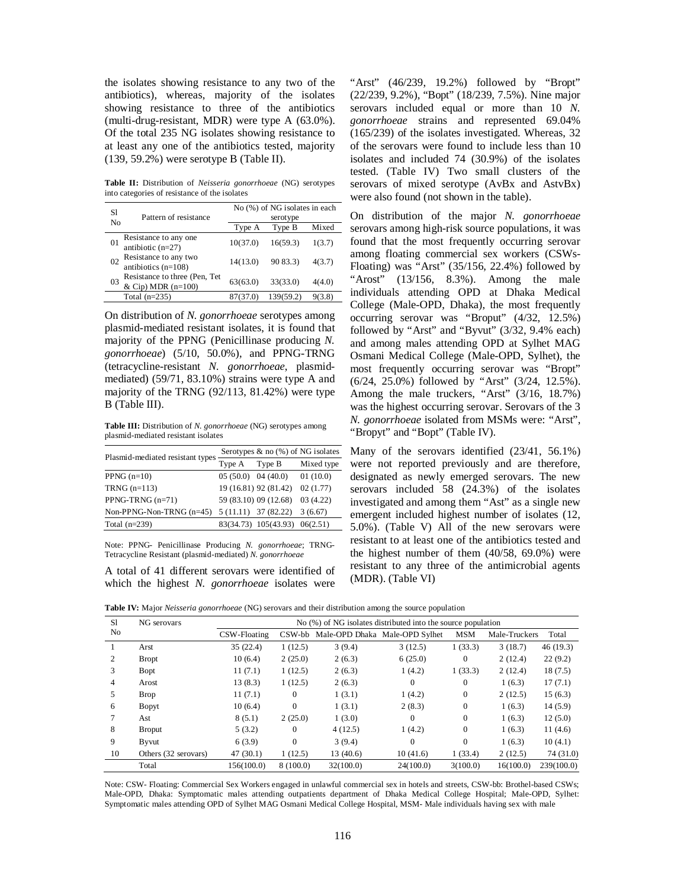the isolates showing resistance to any two of the antibiotics), whereas, majority of the isolates showing resistance to three of the antibiotics (multi-drug-resistant, MDR) were type A (63.0%). Of the total 235 NG isolates showing resistance to at least any one of the antibiotics tested, majority (139, 59.2%) were serotype B (Table II).

**Table II:** Distribution of *Neisseria gonorrhoeae* (NG) serotypes into categories of resistance of the isolates

| S1      | Pattern of resistance                                 | No (%) of NG isolates in each |           |        |  |
|---------|-------------------------------------------------------|-------------------------------|-----------|--------|--|
| No      |                                                       | serotype                      |           |        |  |
|         |                                                       | Type A                        | Type B    | Mixed  |  |
| $_{01}$ | Resistance to any one<br>antibiotic $(n=27)$          | 10(37.0)                      | 16(59.3)  | 1(3.7) |  |
| 02      | Resistance to any two<br>antibiotics $(n=108)$        | 14(13.0)                      | 90 83.3)  | 4(3.7) |  |
| 03      | Resistance to three (Pen, Tet<br>& Cip) MDR $(n=100)$ | 63(63.0)                      | 33(33.0)  | 4(4.0) |  |
|         | Total $(n=235)$                                       | 87(37.0)                      | 139(59.2) |        |  |

On distribution of *N. gonorrhoeae* serotypes among plasmid-mediated resistant isolates, it is found that majority of the PPNG (Penicillinase producing *N. gonorrhoeae*) (5/10, 50.0%), and PPNG-TRNG (tetracycline-resistant *N. gonorrhoeae*, plasmidmediated) (59/71, 83.10%) strains were type A and majority of the TRNG (92/113, 81.42%) were type B (Table III).

**Table III:** Distribution of *N. gonorrhoeae* (NG) serotypes among plasmid-mediated resistant isolates

|                                  | Serotypes $\&$ no $(\%)$ of NG isolates |                       |            |  |
|----------------------------------|-----------------------------------------|-----------------------|------------|--|
| Plasmid-mediated resistant types | Type A                                  | Type B                | Mixed type |  |
| PPNG $(n=10)$                    | $05(50.0)$ 04 (40.0)                    |                       | 01(10.0)   |  |
| TRNG $(n=113)$                   |                                         | 19 (16.81) 92 (81.42) | 02(1.77)   |  |
| PPNG-TRNG $(n=71)$               |                                         | 59 (83.10) 09 (12.68) | 03(4.22)   |  |
| Non-PPNG-Non-TRNG $(n=45)$       |                                         | $5(11.11)$ 37 (82.22) | 3(6.67)    |  |
| Total $(n=239)$                  |                                         | 83(34.73) 105(43.93)  | 06(2.51)   |  |

Note: PPNG- Penicillinase Producing *N. gonorrhoeae*; TRNG-Tetracycline Resistant (plasmid-mediated) *N. gonorrhoeae*

A total of 41 different serovars were identified of which the highest *N. gonorrhoeae* isolates were

"Arst" (46/239, 19.2%) followed by "Bropt" (22/239, 9.2%), "Bopt" (18/239, 7.5%). Nine major serovars included equal or more than 10 *N. gonorrhoeae* strains and represented 69.04% (165/239) of the isolates investigated. Whereas, 32 of the serovars were found to include less than 10 isolates and included 74 (30.9%) of the isolates tested. (Table IV) Two small clusters of the serovars of mixed serotype (AvBx and AstvBx) were also found (not shown in the table).

On distribution of the major *N. gonorrhoeae* serovars among high-risk source populations, it was found that the most frequently occurring serovar among floating commercial sex workers (CSWs-Floating) was "Arst" (35/156, 22.4%) followed by "Arost" (13/156, 8.3%). Among the male individuals attending OPD at Dhaka Medical College (Male-OPD, Dhaka), the most frequently occurring serovar was "Broput" (4/32, 12.5%) followed by "Arst" and "Byvut" (3/32, 9.4% each) and among males attending OPD at Sylhet MAG Osmani Medical College (Male-OPD, Sylhet), the most frequently occurring serovar was "Bropt" (6/24, 25.0%) followed by "Arst" (3/24, 12.5%). Among the male truckers, "Arst" (3/16, 18.7%) was the highest occurring serovar. Serovars of the 3 *N. gonorrhoeae* isolated from MSMs were: "Arst", "Bropyt" and "Bopt" (Table IV).

Many of the serovars identified (23/41, 56.1%) were not reported previously and are therefore, designated as newly emerged serovars. The new serovars included 58 (24.3%) of the isolates investigated and among them "Ast" as a single new emergent included highest number of isolates (12, 5.0%). (Table V) All of the new serovars were resistant to at least one of the antibiotics tested and the highest number of them (40/58, 69.0%) were resistant to any three of the antimicrobial agents (MDR). (Table VI)

**Table IV:** Major *Neisseria gonorrhoeae* (NG) serovars and their distribution among the source population

| S1 | NG serovars          | No (%) of NG isolates distributed into the source population |           |           |                                |                |               |            |
|----|----------------------|--------------------------------------------------------------|-----------|-----------|--------------------------------|----------------|---------------|------------|
| No |                      | CSW-Floating                                                 | CSW-bb    |           | Male-OPD Dhaka Male-OPD Sylhet | <b>MSM</b>     | Male-Truckers | Total      |
| 1  | Arst                 | 35(22.4)                                                     | 1(12.5)   | 3(9.4)    | 3(12.5)                        | 1(33.3)        | 3(18.7)       | 46(19.3)   |
| 2  | <b>Bropt</b>         | 10(6.4)                                                      | 2(25.0)   | 2(6.3)    | 6(25.0)                        | $\Omega$       | 2(12.4)       | 22(9.2)    |
| 3  | Bopt                 | 11(7.1)                                                      | 1(12.5)   | 2(6.3)    | 1(4.2)                         | 1(33.3)        | 2(12.4)       | 18(7.5)    |
| 4  | Arost                | 13(8.3)                                                      | 1(12.5)   | 2(6.3)    | $\mathbf{0}$                   | $\Omega$       | 1(6.3)        | 17(7.1)    |
| 5  | <b>Brop</b>          | 11(7.1)                                                      | $\Omega$  | 1(3.1)    | 1(4.2)                         | $\overline{0}$ | 2(12.5)       | 15(6.3)    |
| 6  | Bopyt                | 10(6.4)                                                      | $\Omega$  | 1(3.1)    | 2(8.3)                         | $\Omega$       | 1(6.3)        | 14(5.9)    |
|    | Ast                  | 8(5.1)                                                       | 2(25.0)   | 1(3.0)    | $\overline{0}$                 | $\Omega$       | 1(6.3)        | 12(5.0)    |
| 8  | <b>Broput</b>        | 5(3.2)                                                       | $\Omega$  | 4(12.5)   | 1(4.2)                         | $\mathbf{0}$   | 1(6.3)        | 11(4.6)    |
| 9  | Byvut                | 6(3.9)                                                       | $\Omega$  | 3(9.4)    | $\theta$                       | $\Omega$       | 1(6.3)        | 10(4.1)    |
| 10 | Others (32 serovars) | 47(30.1)                                                     | 1(12.5)   | 13(40.6)  | 10(41.6)                       | 1(33.4)        | 2(12.5)       | 74 (31.0)  |
|    | Total                | 156(100.0)                                                   | 8 (100.0) | 32(100.0) | 24(100.0)                      | 3(100.0)       | 16(100.0)     | 239(100.0) |

Note: CSW- Floating: Commercial Sex Workers engaged in unlawful commercial sex in hotels and streets, CSW-bb: Brothel-based CSWs; Male-OPD, Dhaka: Symptomatic males attending outpatients department of Dhaka Medical College Hospital; Male-OPD, Sylhet: Symptomatic males attending OPD of Sylhet MAG Osmani Medical College Hospital, MSM- Male individuals having sex with male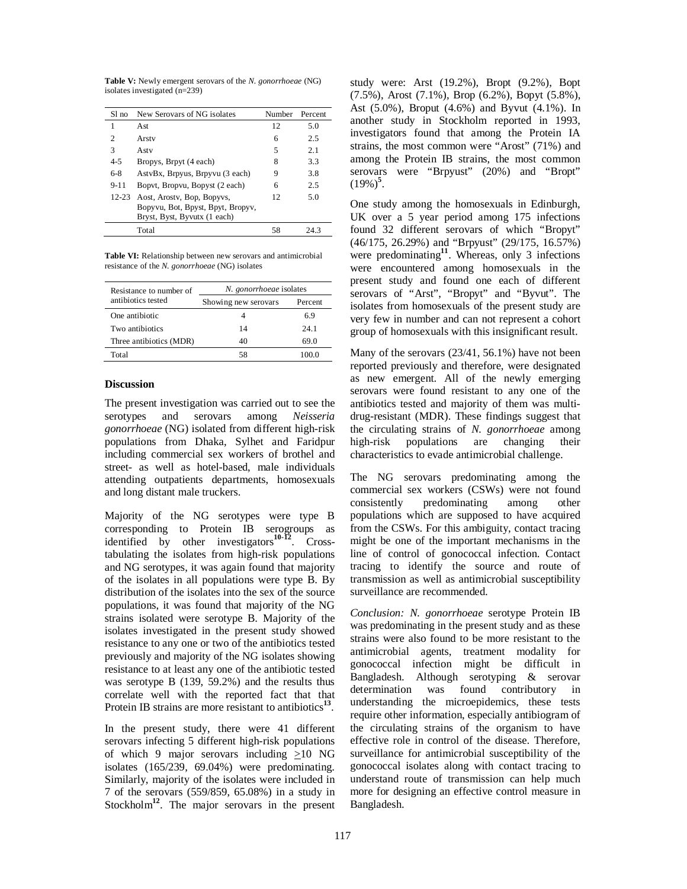**Table V:** Newly emergent serovars of the *N. gonorrhoeae* (NG) isolates investigated (n=239)

| S1 no     | New Serovars of NG isolates                                                                     | Number | Percent |
|-----------|-------------------------------------------------------------------------------------------------|--------|---------|
| 1         | Ast.                                                                                            | 12     | 5.0     |
| 2         | Arsty                                                                                           | 6      | 2.5     |
| 3         | Astv                                                                                            | 5      | 2.1     |
| $4 - 5$   | Bropys, Brpyt (4 each)                                                                          | 8      | 3.3     |
| $6-8$     | AstyBx, Brpyus, Brpyvu (3 each)                                                                 | 9      | 3.8     |
| $9 - 11$  | Bopyt, Bropyu, Bopyst (2 each)                                                                  | 6      | 2.5     |
| $12 - 23$ | Aost, Arostv, Bop, Bopyvs,<br>Bopyvu, Bot, Bpyst, Bpyt, Bropyv,<br>Bryst, Byst, Byvutx (1 each) | 12     | 5.0     |
|           | Total                                                                                           | 58     | 24.3    |

Table VI: Relationship between new serovars and antimicrobial resistance of the *N. gonorrhoeae* (NG) isolates

| Resistance to number of | N. gonorrhoeae isolates |         |  |
|-------------------------|-------------------------|---------|--|
| antibiotics tested      | Showing new serovars    | Percent |  |
| One antibiotic          |                         | 6.9     |  |
| Two antibiotics         | 14                      | 24 1    |  |
| Three antibiotics (MDR) | 40                      | 69.0    |  |
| Total                   | 58                      | 100 0   |  |

## **Discussion**

The present investigation was carried out to see the serotypes and serovars among *Neisseria gonorrhoeae* (NG) isolated from different high-risk populations from Dhaka, Sylhet and Faridpur including commercial sex workers of brothel and street- as well as hotel-based, male individuals attending outpatients departments, homosexuals and long distant male truckers.

Majority of the NG serotypes were type B corresponding to Protein IB serogroups as identified by other investigators**10-12** . Crosstabulating the isolates from high-risk populations and NG serotypes, it was again found that majority of the isolates in all populations were type B. By distribution of the isolates into the sex of the source populations, it was found that majority of the NG strains isolated were serotype B. Majority of the isolates investigated in the present study showed resistance to any one or two of the antibiotics tested previously and majority of the NG isolates showing resistance to at least any one of the antibiotic tested was serotype B (139, 59.2%) and the results thus correlate well with the reported fact that that Protein IB strains are more resistant to antibiotics<sup>13</sup>.

In the present study, there were 41 different serovars infecting 5 different high-risk populations of which 9 major serovars including  $\geq 10$  NG isolates (165/239, 69.04%) were predominating. Similarly, majority of the isolates were included in 7 of the serovars (559/859, 65.08%) in a study in Stockholm<sup>12</sup>. The major serovars in the present

study were: Arst (19.2%), Bropt (9.2%), Bopt (7.5%), Arost (7.1%), Brop (6.2%), Bopyt (5.8%), Ast (5.0%), Broput (4.6%) and Byvut (4.1%). In another study in Stockholm reported in 1993, investigators found that among the Protein IA strains, the most common were "Arost" (71%) and among the Protein IB strains, the most common serovars were "Brpyust" (20%) and "Bropt"  $(19\%)^5$ .

One study among the homosexuals in Edinburgh, UK over a 5 year period among 175 infections found 32 different serovars of which "Bropyt" (46/175, 26.29%) and "Brpyust" (29/175, 16.57%) were predominating**<sup>11</sup>** . Whereas, only 3 infections were encountered among homosexuals in the present study and found one each of different serovars of "Arst", "Bropyt" and "Byvut". The isolates from homosexuals of the present study are very few in number and can not represent a cohort group of homosexuals with this insignificant result.

Many of the serovars (23/41, 56.1%) have not been reported previously and therefore, were designated as new emergent. All of the newly emerging serovars were found resistant to any one of the antibiotics tested and majority of them was multidrug-resistant (MDR). These findings suggest that the circulating strains of *N. gonorrhoeae* among high-risk populations are changing their characteristics to evade antimicrobial challenge.

The NG serovars predominating among the commercial sex workers (CSWs) were not found consistently predominating among other populations which are supposed to have acquired from the CSWs. For this ambiguity, contact tracing might be one of the important mechanisms in the line of control of gonococcal infection. Contact tracing to identify the source and route of transmission as well as antimicrobial susceptibility surveillance are recommended.

*Conclusion: N. gonorrhoeae* serotype Protein IB was predominating in the present study and as these strains were also found to be more resistant to the antimicrobial agents, treatment modality for gonococcal infection might be difficult in Bangladesh. Although serotyping & serovar determination was found contributory in understanding the microepidemics, these tests require other information, especially antibiogram of the circulating strains of the organism to have effective role in control of the disease. Therefore, surveillance for antimicrobial susceptibility of the gonococcal isolates along with contact tracing to understand route of transmission can help much more for designing an effective control measure in Bangladesh.